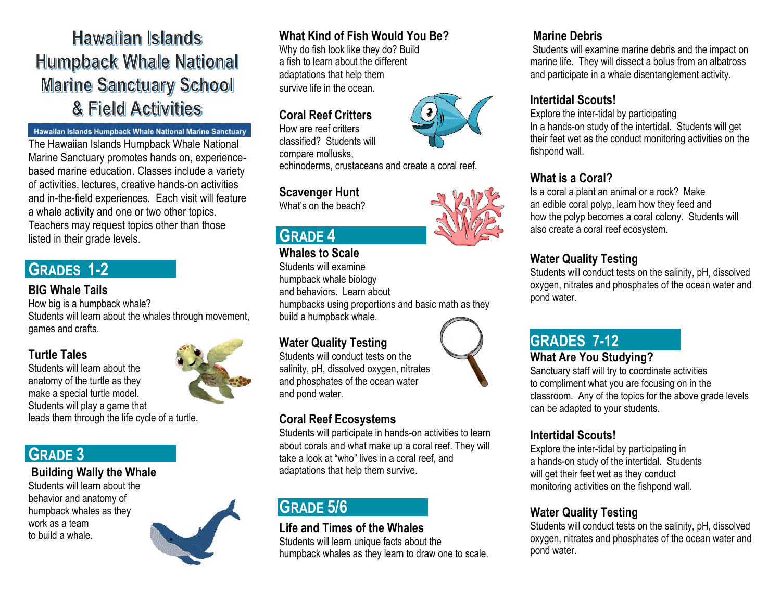**Hawaiian Islands Humpback Whale National Marine Sanctuary School** & Field Activities

#### Hawaiian Islands Humpback Whale National Marine Sanctuary

The Hawaiian Islands Humpback Whale National Marine Sanctuary promotes hands on, experiencebased marine education. Classes include a variety of activities, lectures, creative hands-on activities and in-the-field experiences. Each visit will feature a whale activity and one or two other topics. Teachers may request topics other than those listed in their grade levels.

## **GRADES 1-2**

#### **BIG Whale Tails**

How big is a humpback whale? Students will learn about the whales through movement, games and crafts.

# **Turtle Tales**

Students will learn about the anatomy of the turtle as they make a special turtle model. Students will play a game that leads them through the life cycle of a turtle.

# **GRADE 3**

#### **Building Wally the Whale**

Students will learn about the behavior and anatomy of humpback whales as they work as a team to build a whale.



## **What Kind of Fish Would You Be?**

Why do fish look like they do? Build a fish to learn about the different adaptations that help them survive life in the ocean.

## **Coral Reef Critters**

How are reef critters classified? Students will compare mollusks,

echinoderms, crustaceans and create a coral reef.

#### **Scavenger Hunt**

What's on the beach?

# **GRADE 4**

#### **Whales to Scale**

Students will examine humpback whale biology and behaviors. Learn about humpbacks using proportions and basic math as they build a humpback whale.

#### **Water Quality Testing**

Students will conduct tests on the salinity, pH, dissolved oxygen, nitrates and phosphates of the ocean water and pond water.

#### **Coral Reef Ecosystems**

Students will participate in hands-on activities to learn about corals and what make up a coral reef. They will take a look at "who" lives in a coral reef, and adaptations that help them survive.

# **GRADE 5/6**

## **Life and Times of the Whales**

Students will learn unique facts about the humpback whales as they learn to draw one to scale.

## **Marine Debris**

Students will examine marine debris and the impact on marine life. They will dissect a bolus from an albatross and participate in a whale disentanglement activity.

#### **Intertidal Scouts!**

Explore the inter-tidal by participating In a hands-on study of the intertidal. Students will get their feet wet as the conduct monitoring activities on the fishpond wall.

## **What is a Coral?**

Is a coral a plant an animal or a rock? Make an edible coral polyp, learn how they feed and how the polyp becomes a coral colony. Students will also create a coral reef ecosystem.

#### **Water Quality Testing**

Students will conduct tests on the salinity, pH, dissolved oxygen, nitrates and phosphates of the ocean water and pond water.

# **GRADES 7-12**

#### **What Are You Studying?**

Sanctuary staff will try to coordinate activities to compliment what you are focusing on in the classroom. Any of the topics for the above grade levels can be adapted to your students.

#### **Intertidal Scouts!**

Explore the inter-tidal by participating in a hands-on study of the intertidal. Students will get their feet wet as they conduct monitoring activities on the fishpond wall.

## **Water Quality Testing**

Students will conduct tests on the salinity, pH, dissolved oxygen, nitrates and phosphates of the ocean water and pond water.